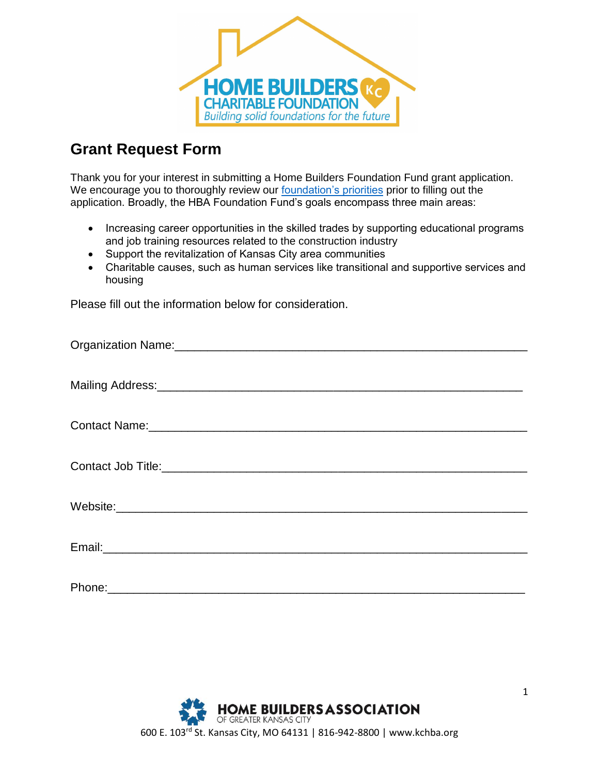

## **Grant Request Form**

Thank you for your interest in submitting a Home Builders Foundation Fund grant application. We encourage you to thoroughly review our [foundation's priorities](https://kchba.org/about-us/home-builders-foundation-fund/) prior to filling out the application. Broadly, the HBA Foundation Fund's goals encompass three main areas:

- Increasing career opportunities in the skilled trades by supporting educational programs and job training resources related to the construction industry
- Support the revitalization of Kansas City area communities
- Charitable causes, such as human services like transitional and supportive services and housing

Please fill out the information below for consideration.

| Contact Name: experience and a series of the series of the series of the series of the series of the series of |
|----------------------------------------------------------------------------------------------------------------|
|                                                                                                                |
|                                                                                                                |
|                                                                                                                |
|                                                                                                                |
|                                                                                                                |
|                                                                                                                |
|                                                                                                                |
|                                                                                                                |
|                                                                                                                |
|                                                                                                                |

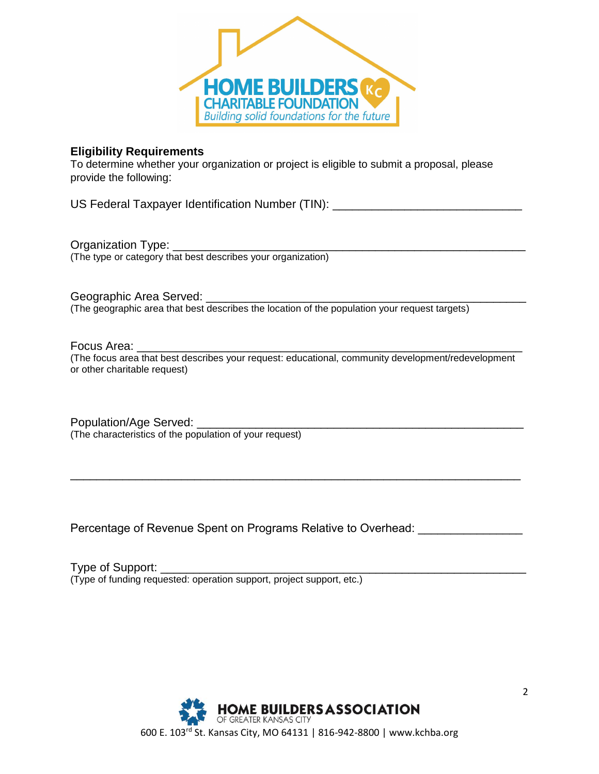

## **Eligibility Requirements**

To determine whether your organization or project is eligible to submit a proposal, please provide the following:

US Federal Taxpayer Identification Number (TIN): \_\_\_\_\_\_\_\_\_\_\_\_\_\_\_\_\_\_\_\_\_\_\_\_\_\_\_\_\_\_\_

Organization Type: (The type or category that best describes your organization)

Geographic Area Served: **Example 2018** 

(The geographic area that best describes the location of the population your request targets)

## Focus Area:

(The focus area that best describes your request: educational, community development/redevelopment or other charitable request)

\_\_\_\_\_\_\_\_\_\_\_\_\_\_\_\_\_\_\_\_\_\_\_\_\_\_\_\_\_\_\_\_\_\_\_\_\_\_\_\_\_\_\_\_\_\_\_\_\_\_\_\_\_\_\_\_\_\_\_\_\_\_\_\_\_\_\_\_\_

Population/Age Served: \_\_\_\_\_\_\_\_\_\_\_\_\_\_\_\_\_\_\_\_\_\_\_\_\_\_\_\_\_\_\_\_\_\_\_\_\_\_\_\_\_\_\_\_\_\_\_\_\_\_ (The characteristics of the population of your request)

Percentage of Revenue Spent on Programs Relative to Overhead:

Type of Support: (Type of funding requested: operation support, project support, etc.)

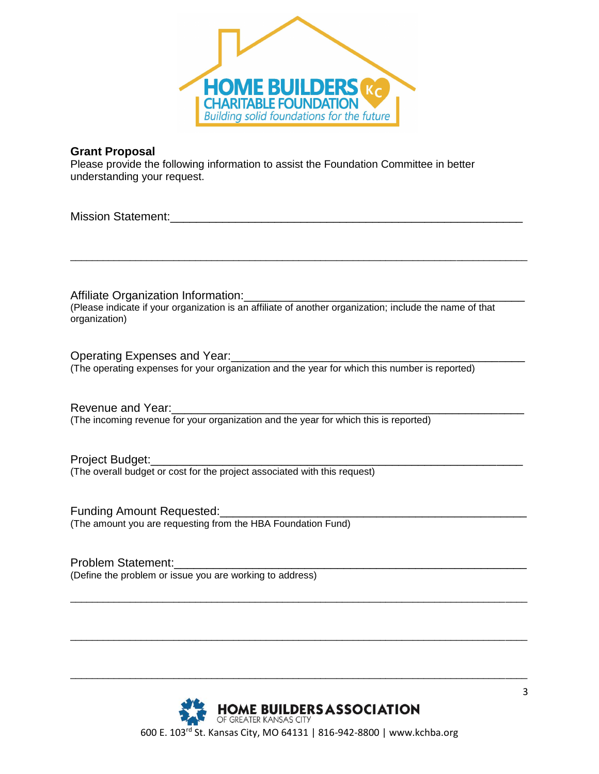

## **Grant Proposal**

Please provide the following information to assist the Foundation Committee in better understanding your request.

Mission Statement:\_\_\_\_\_\_\_\_\_\_\_\_\_\_\_\_\_\_\_\_\_\_\_\_\_\_\_\_\_\_\_\_\_\_\_\_\_\_\_\_\_\_\_\_\_\_\_\_\_\_\_\_\_\_

Affiliate Organization Information: (Please indicate if your organization is an affiliate of another organization; include the name of that organization)

\_\_\_\_\_\_\_\_\_\_\_\_\_\_\_\_\_\_\_\_\_\_\_\_\_\_\_\_\_\_\_\_\_\_\_\_\_\_\_\_\_\_\_\_\_\_\_\_\_\_\_\_\_\_\_\_\_\_\_\_\_\_\_\_\_\_\_\_\_\_\_\_\_\_\_\_\_\_\_\_\_\_\_\_

Operating Expenses and Year: (The operating expenses for your organization and the year for which this number is reported)

Revenue and Year: (The incoming revenue for your organization and the year for which this is reported)

Project Budget: (The overall budget or cost for the project associated with this request)

Funding Amount Requested: (The amount you are requesting from the HBA Foundation Fund)

Problem Statement: (Define the problem or issue you are working to address)



\_\_\_\_\_\_\_\_\_\_\_\_\_\_\_\_\_\_\_\_\_\_\_\_\_\_\_\_\_\_\_\_\_\_\_\_\_\_\_\_\_\_\_\_\_\_\_\_\_\_\_\_\_\_\_\_\_\_\_\_\_\_\_\_\_\_\_\_\_\_\_\_\_\_\_\_\_\_\_\_\_\_\_\_

\_\_\_\_\_\_\_\_\_\_\_\_\_\_\_\_\_\_\_\_\_\_\_\_\_\_\_\_\_\_\_\_\_\_\_\_\_\_\_\_\_\_\_\_\_\_\_\_\_\_\_\_\_\_\_\_\_\_\_\_\_\_\_\_\_\_\_\_\_\_\_\_\_\_\_\_\_\_\_\_\_\_\_\_

\_\_\_\_\_\_\_\_\_\_\_\_\_\_\_\_\_\_\_\_\_\_\_\_\_\_\_\_\_\_\_\_\_\_\_\_\_\_\_\_\_\_\_\_\_\_\_\_\_\_\_\_\_\_\_\_\_\_\_\_\_\_\_\_\_\_\_\_\_\_\_\_\_\_\_\_\_\_\_\_\_\_\_\_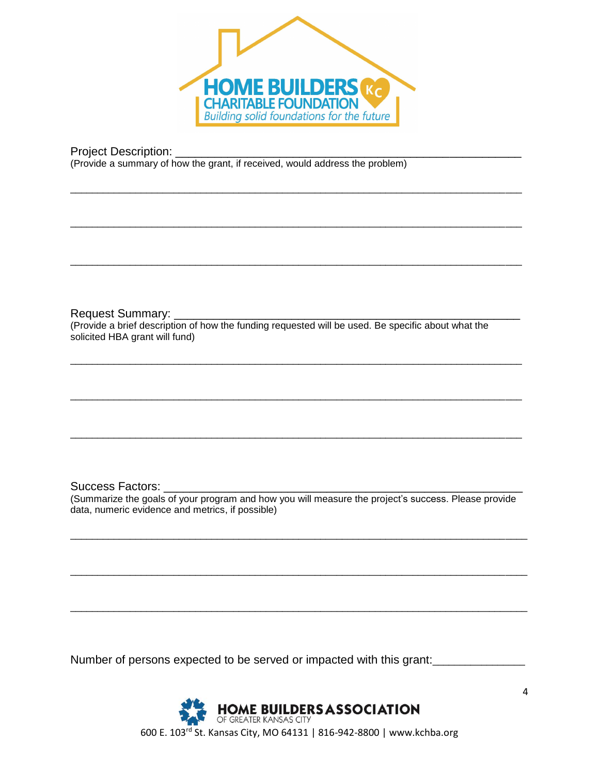

\_\_\_\_\_\_\_\_\_\_\_\_\_\_\_\_\_\_\_\_\_\_\_\_\_\_\_\_\_\_\_\_\_\_\_\_\_\_\_\_\_\_\_\_\_\_\_\_\_\_\_\_\_\_\_\_\_\_\_\_\_\_\_\_\_\_\_\_\_\_\_\_\_\_\_\_\_\_\_\_\_\_\_

\_\_\_\_\_\_\_\_\_\_\_\_\_\_\_\_\_\_\_\_\_\_\_\_\_\_\_\_\_\_\_\_\_\_\_\_\_\_\_\_\_\_\_\_\_\_\_\_\_\_\_\_\_\_\_\_\_\_\_\_\_\_\_\_\_\_\_\_\_\_\_\_\_\_\_\_\_\_\_\_\_\_\_

\_\_\_\_\_\_\_\_\_\_\_\_\_\_\_\_\_\_\_\_\_\_\_\_\_\_\_\_\_\_\_\_\_\_\_\_\_\_\_\_\_\_\_\_\_\_\_\_\_\_\_\_\_\_\_\_\_\_\_\_\_\_\_\_\_\_\_\_\_\_\_\_\_\_\_\_\_\_\_\_\_\_\_

\_\_\_\_\_\_\_\_\_\_\_\_\_\_\_\_\_\_\_\_\_\_\_\_\_\_\_\_\_\_\_\_\_\_\_\_\_\_\_\_\_\_\_\_\_\_\_\_\_\_\_\_\_\_\_\_\_\_\_\_\_\_\_\_\_\_\_\_\_\_\_\_\_\_\_\_\_\_\_\_\_\_\_

\_\_\_\_\_\_\_\_\_\_\_\_\_\_\_\_\_\_\_\_\_\_\_\_\_\_\_\_\_\_\_\_\_\_\_\_\_\_\_\_\_\_\_\_\_\_\_\_\_\_\_\_\_\_\_\_\_\_\_\_\_\_\_\_\_\_\_\_\_\_\_\_\_\_\_\_\_\_\_\_\_\_\_

\_\_\_\_\_\_\_\_\_\_\_\_\_\_\_\_\_\_\_\_\_\_\_\_\_\_\_\_\_\_\_\_\_\_\_\_\_\_\_\_\_\_\_\_\_\_\_\_\_\_\_\_\_\_\_\_\_\_\_\_\_\_\_\_\_\_\_\_\_\_\_\_\_\_\_\_\_\_\_\_\_\_\_

Project Description:

(Provide a summary of how the grant, if received, would address the problem)

Request Summary:

(Provide a brief description of how the funding requested will be used. Be specific about what the solicited HBA grant will fund)

Success Factors:

(Summarize the goals of your program and how you will measure the project's success. Please provide data, numeric evidence and metrics, if possible)

\_\_\_\_\_\_\_\_\_\_\_\_\_\_\_\_\_\_\_\_\_\_\_\_\_\_\_\_\_\_\_\_\_\_\_\_\_\_\_\_\_\_\_\_\_\_\_\_\_\_\_\_\_\_\_\_\_\_\_\_\_\_\_\_\_\_\_\_\_\_\_\_\_\_\_\_\_\_\_\_\_\_\_\_

\_\_\_\_\_\_\_\_\_\_\_\_\_\_\_\_\_\_\_\_\_\_\_\_\_\_\_\_\_\_\_\_\_\_\_\_\_\_\_\_\_\_\_\_\_\_\_\_\_\_\_\_\_\_\_\_\_\_\_\_\_\_\_\_\_\_\_\_\_\_\_\_\_\_\_\_\_\_\_\_\_\_\_\_

\_\_\_\_\_\_\_\_\_\_\_\_\_\_\_\_\_\_\_\_\_\_\_\_\_\_\_\_\_\_\_\_\_\_\_\_\_\_\_\_\_\_\_\_\_\_\_\_\_\_\_\_\_\_\_\_\_\_\_\_\_\_\_\_\_\_\_\_\_\_\_\_\_\_\_\_\_\_\_\_\_\_\_\_

Number of persons expected to be served or impacted with this grant: